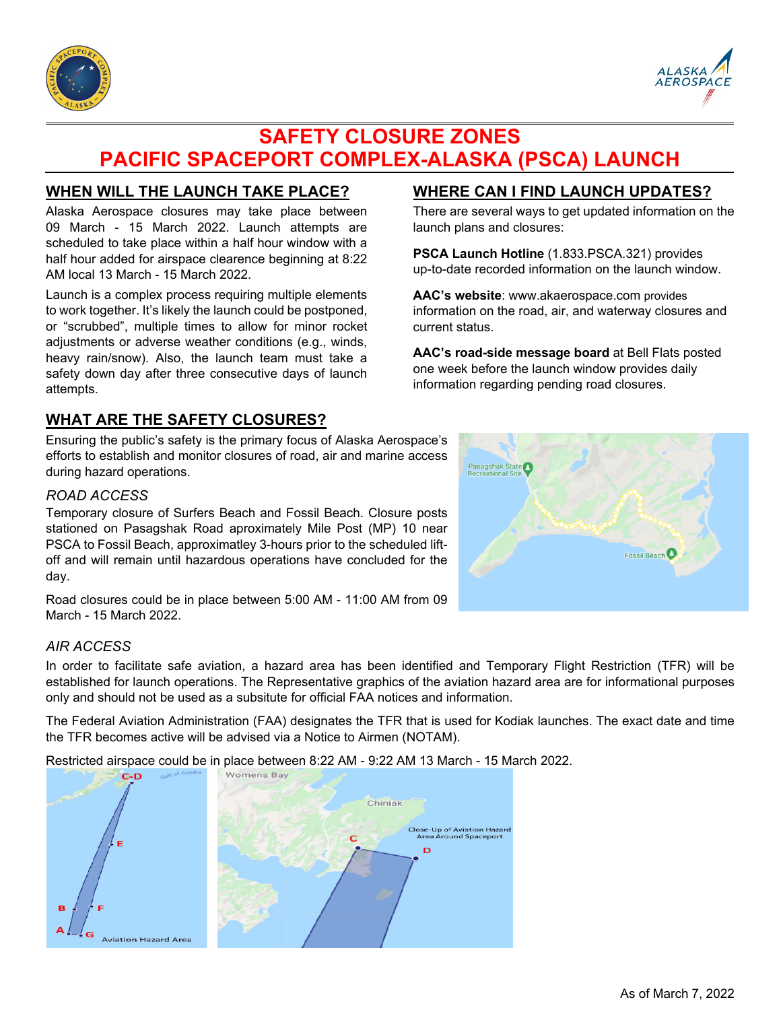



# **SAFETY CLOSURE ZONES PACIFIC SPACEPORT COMPLEX-ALASKA (PSCA) LAUNCH**

## **WHEN WILL THE LAUNCH TAKE PLACE?**

Alaska Aerospace closures may take place between 09 March - 15 March 2022. Launch attempts are scheduled to take place within a half hour window with a half hour added for airspace clearence beginning at 8:22 AM local 13 March - 15 March 2022.

Launch is a complex process requiring multiple elements to work together. It's likely the launch could be postponed, or "scrubbed", multiple times to allow for minor rocket adjustments or adverse weather conditions (e.g., winds, heavy rain/snow). Also, the launch team must take a safety down day after three consecutive days of launch attempts.

## **WHAT ARE THE SAFETY CLOSURES?**

Ensuring the public's safety is the primary focus of Alaska Aerospace's efforts to establish and monitor closures of road, air and marine access during hazard operations.

#### *ROAD ACCESS*

Temporary closure of Surfers Beach and Fossil Beach. Closure posts stationed on Pasagshak Road aproximately Mile Post (MP) 10 near PSCA to Fossil Beach, approximatley 3-hours prior to the scheduled liftoff and will remain until hazardous operations have concluded for the day.

Road closures could be in place between 5:00 AM - 11:00 AM from 09 March - 15 March 2022.

#### *AIR ACCESS*

In order to facilitate safe aviation, a hazard area has been identified and Temporary Flight Restriction (TFR) will be established for launch operations. The Representative graphics of the aviation hazard area are for informational purposes only and should not be used as a subsitute for official FAA notices and information.

The Federal Aviation Administration (FAA) designates the TFR that is used for Kodiak launches. The exact date and time the TFR becomes active will be advised via a Notice to Airmen (NOTAM).

Restricted airspace could be in place between 8:22 AM - 9:22 AM 13 March - 15 March 2022.



## **WHERE CAN I FIND LAUNCH UPDATES?**

There are several ways to get updated information on the launch plans and closures:

**PSCA Launch Hotline** (1.833.PSCA.321) provides up-to-date recorded information on the launch window.

**AAC's website**: www.akaerospace.com provides information on the road, air, and waterway closures and current status.

**AAC's road-side message board** at Bell Flats posted one week before the launch window provides daily information regarding pending road closures.